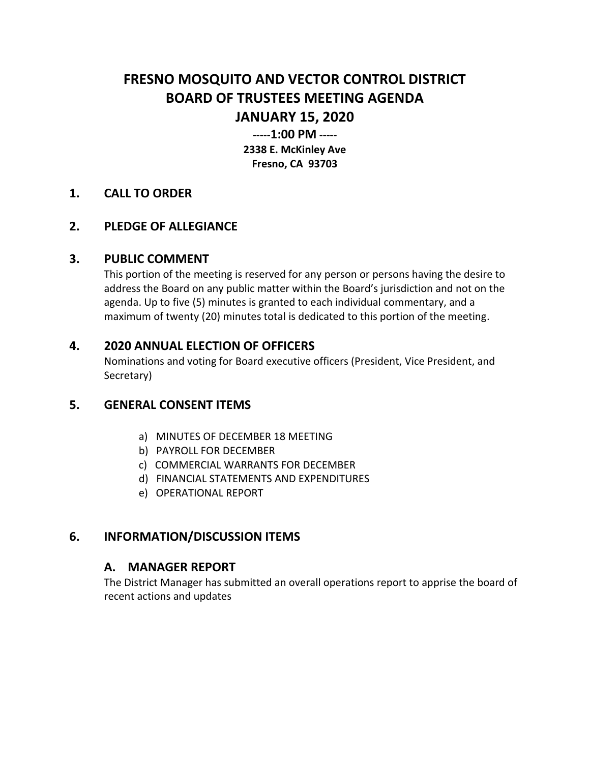# **FRESNO MOSQUITO AND VECTOR CONTROL DISTRICT BOARD OF TRUSTEES MEETING AGENDA JANUARY 15, 2020**

**-----1:00 PM ----- 2338 E. McKinley Ave Fresno, CA 93703**

#### **1. CALL TO ORDER**

## **2. PLEDGE OF ALLEGIANCE**

#### **3. PUBLIC COMMENT**

This portion of the meeting is reserved for any person or persons having the desire to address the Board on any public matter within the Board's jurisdiction and not on the agenda. Up to five (5) minutes is granted to each individual commentary, and a maximum of twenty (20) minutes total is dedicated to this portion of the meeting.

#### **4. 2020 ANNUAL ELECTION OF OFFICERS**

Nominations and voting for Board executive officers (President, Vice President, and Secretary)

## **5. GENERAL CONSENT ITEMS**

- a) MINUTES OF DECEMBER 18 MEETING
- b) PAYROLL FOR DECEMBER
- c) COMMERCIAL WARRANTS FOR DECEMBER
- d) FINANCIAL STATEMENTS AND EXPENDITURES
- e) OPERATIONAL REPORT

## **6. INFORMATION/DISCUSSION ITEMS**

#### **A. MANAGER REPORT**

The District Manager has submitted an overall operations report to apprise the board of recent actions and updates